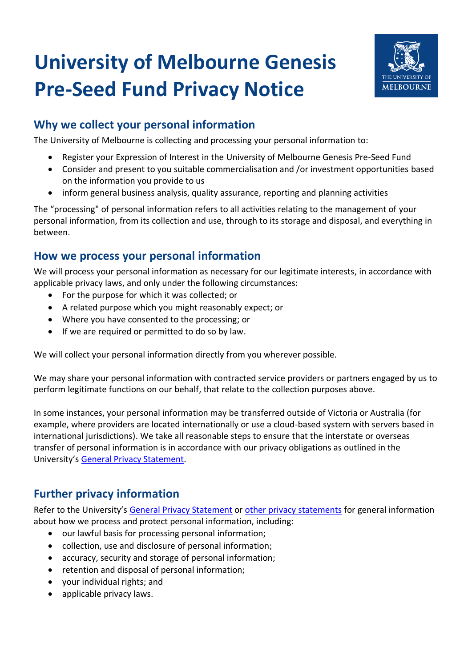# **University of Melbourne Genesis Pre-Seed Fund Privacy Notice**



# **Why we collect your personal information**

The University of Melbourne is collecting and processing your personal information to:

- Register your Expression of Interest in the University of Melbourne Genesis Pre-Seed Fund
- Consider and present to you suitable commercialisation and /or investment opportunities based on the information you provide to us
- inform general business analysis, quality assurance, reporting and planning activities

The "processing" of personal information refers to all activities relating to the management of your personal information, from its collection and use, through to its storage and disposal, and everything in between.

#### **How we process your personal information**

We will process your personal information as necessary for our legitimate interests, in accordance with applicable privacy laws, and only under the following circumstances:

- For the purpose for which it was collected; or
- A related purpose which you might reasonably expect; or
- Where you have consented to the processing; or
- If we are required or permitted to do so by law.

We will collect your personal information directly from you wherever possible.

We may share your personal information with contracted service providers or partners engaged by us to perform legitimate functions on our behalf, that relate to the collection purposes above.

In some instances, your personal information may be transferred outside of Victoria or Australia (for example, where providers are located internationally or use a cloud-based system with servers based in international jurisdictions). We take all reasonable steps to ensure that the interstate or overseas transfer of personal information is in accordance with our privacy obligations as outlined in the University's [General Privacy Statement.](https://about.unimelb.edu.au/strategy/governance/compliance-obligations/privacy/privacy-statements/general-privacy-statement)

# **Further privacy information**

Refer to the University's [General Privacy Statement](https://about.unimelb.edu.au/strategy/governance/compliance-obligations/privacy/privacy-statements/general-privacy-statement) or [other privacy statements](https://about.unimelb.edu.au/strategy/governance/compliance-obligations/privacy/privacy-statements/general-privacy-statement) for general information about how we process and protect personal information, including:

- our lawful basis for processing personal information;
- collection, use and disclosure of personal information;
- accuracy, security and storage of personal information;
- retention and disposal of personal information;
- your individual rights; and
- applicable privacy laws.